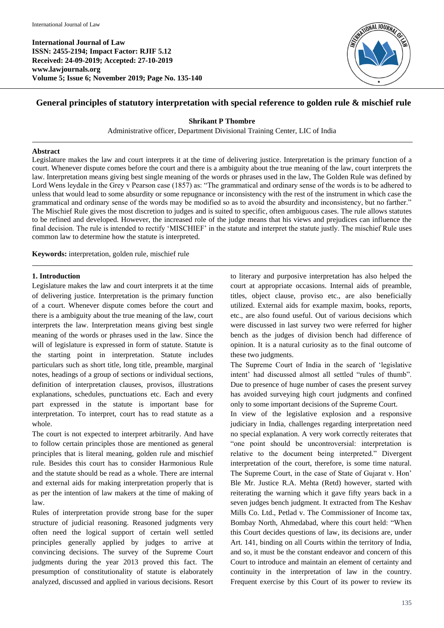**International Journal of Law ISSN: 2455-2194; Impact Factor: RJIF 5.12 Received: 24-09-2019; Accepted: 27-10-2019 www.lawjournals.org Volume 5; Issue 6; November 2019; Page No. 135-140**



# **General principles of statutory interpretation with special reference to golden rule & mischief rule**

#### **Shrikant P Thombre**

Administrative officer, Department Divisional Training Center, LIC of India

#### **Abstract**

Legislature makes the law and court interprets it at the time of delivering justice. Interpretation is the primary function of a court. Whenever dispute comes before the court and there is a ambiguity about the true meaning of the law, court interprets the law. Interpretation means giving best single meaning of the words or phrases used in the law, The Golden Rule was defined by Lord Wens leydale in the Grey v Pearson case (1857) as: "The grammatical and ordinary sense of the words is to be adhered to unless that would lead to some absurdity or some repugnance or inconsistency with the rest of the instrument in which case the grammatical and ordinary sense of the words may be modified so as to avoid the absurdity and inconsistency, but no farther." The Mischief Rule gives the most discretion to judges and is suited to specific, often ambiguous cases. The rule allows statutes to be refined and developed. However, the increased role of the judge means that his views and prejudices can influence the final decision. The rule is intended to rectify 'MISCHIEF' in the statute and interpret the statute justly. The mischief Rule uses common law to determine how the statute is interpreted.

**Keywords:** interpretation, golden rule, mischief rule

## **1. Introduction**

Legislature makes the law and court interprets it at the time of delivering justice. Interpretation is the primary function of a court. Whenever dispute comes before the court and there is a ambiguity about the true meaning of the law, court interprets the law. Interpretation means giving best single meaning of the words or phrases used in the law. Since the will of legislature is expressed in form of statute. Statute is the starting point in interpretation. Statute includes particulars such as short title, long title, preamble, marginal notes, headings of a group of sections or individual sections, definition of interpretation clauses, provisos, illustrations explanations, schedules, punctuations etc. Each and every part expressed in the statute is important base for interpretation. To interpret, court has to read statute as a whole.

The court is not expected to interpret arbitrarily. And have to follow certain principles those are mentioned as general principles that is literal meaning, golden rule and mischief rule. Besides this court has to consider Harmonious Rule and the statute should be read as a whole. There are internal and external aids for making interpretation properly that is as per the intention of law makers at the time of making of law.

Rules of interpretation provide strong base for the super structure of judicial reasoning. Reasoned judgments very often need the logical support of certain well settled principles generally applied by judges to arrive at convincing decisions. The survey of the Supreme Court judgments during the year 2013 proved this fact. The presumption of constitutionality of statute is elaborately analyzed, discussed and applied in various decisions. Resort

to literary and purposive interpretation has also helped the court at appropriate occasions. Internal aids of preamble, titles, object clause, proviso etc., are also beneficially utilized. External aids for example maxim, books, reports, etc., are also found useful. Out of various decisions which were discussed in last survey two were referred for higher bench as the judges of division bench had difference of opinion. It is a natural curiosity as to the final outcome of these two judgments.

The Supreme Court of India in the search of 'legislative intent' had discussed almost all settled "rules of thumb". Due to presence of huge number of cases the present survey has avoided surveying high court judgments and confined only to some important decisions of the Supreme Court.

In view of the legislative explosion and a responsive judiciary in India, challenges regarding interpretation need no special explanation. A very work correctly reiterates that "one point should be uncontroversial: interpretation is relative to the document being interpreted." Divergent interpretation of the court, therefore, is some time natural. The Supreme Court, in the case of State of Gujarat v. Hon' Ble Mr. Justice R.A. Mehta (Retd) however, started with reiterating the warning which it gave fifty years back in a seven judges bench judgment. It extracted from The Keshav Mills Co. Ltd., Petlad v. The Commissioner of Income tax, Bombay North, Ahmedabad, where this court held: "When this Court decides questions of law, its decisions are, under Art. 141, binding on all Courts within the territory of India, and so, it must be the constant endeavor and concern of this Court to introduce and maintain an element of certainty and continuity in the interpretation of law in the country. Frequent exercise by this Court of its power to review its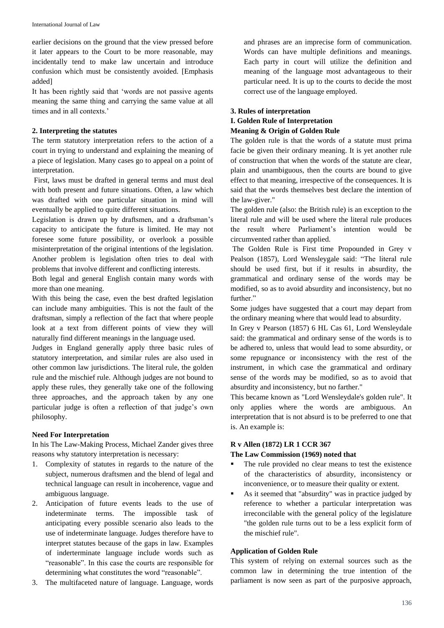earlier decisions on the ground that the view pressed before it later appears to the Court to be more reasonable, may incidentally tend to make law uncertain and introduce confusion which must be consistently avoided. [Emphasis added]

It has been rightly said that 'words are not passive agents meaning the same thing and carrying the same value at all times and in all contexts.'

## **2. Interpreting the statutes**

The term statutory interpretation refers to the action of a court in trying to understand and explaining the meaning of a piece of legislation. Many cases go to appeal on a point of interpretation.

First, laws must be drafted in general terms and must deal with both present and future situations. Often, a law which was drafted with one particular situation in mind will eventually be applied to quite different situations.

Legislation is drawn up by draftsmen, and a draftsman's capacity to anticipate the future is limited. He may not foresee some future possibility, or overlook a possible misinterpretation of the original intentions of the legislation. Another problem is legislation often tries to deal with problems that involve different and conflicting interests.

Both legal and general English contain many words with more than one meaning.

With this being the case, even the best drafted legislation can include many ambiguities. This is not the fault of the draftsman, simply a reflection of the fact that where people look at a text from different points of view they will naturally find different meanings in the language used.

Judges in England generally apply three basic rules of statutory interpretation, and similar rules are also used in other common law jurisdictions. The literal rule, the golden rule and the mischief rule. Although judges are not bound to apply these rules, they generally take one of the following three approaches, and the approach taken by any one particular judge is often a reflection of that judge's own philosophy.

## **Need For Interpretation**

In his The Law-Making Process, Michael Zander gives three reasons why statutory interpretation is necessary:

- 1. Complexity of statutes in regards to the nature of the subject, numerous draftsmen and the blend of legal and technical language can result in incoherence, vague and ambiguous language.
- 2. Anticipation of future events leads to the use of indeterminate terms. The impossible task of anticipating every possible scenario also leads to the use of indeterminate language. Judges therefore have to interpret statutes because of the gaps in law. Examples of inderterminate language include words such as "reasonable". In this case the courts are responsible for determining what constitutes the word "reasonable".
- 3. The multifaceted nature of language. Language, words

and phrases are an imprecise form of communication. Words can have multiple definitions and meanings. Each party in court will utilize the definition and meaning of the language most advantageous to their particular need. It is up to the courts to decide the most correct use of the language employed.

## **3. Rules of interpretation**

## **I. Golden Rule of Interpretation**

## **Meaning & Origin of Golden Rule**

The golden rule is that the words of a statute must prima facie be given their ordinary meaning. It is yet another rule of construction that when the words of the statute are clear, plain and unambiguous, then the courts are bound to give effect to that meaning, irrespective of the consequences. It is said that the words themselves best declare the intention of the law-giver."

The golden rule (also: the British rule) is an exception to the literal rule and will be used where the literal rule produces the result where Parliament's intention would be circumvented rather than applied.

The Golden Rule is First time Propounded in Grey v Pealson (1857), Lord Wensleygale said: "The literal rule should be used first, but if it results in absurdity, the grammatical and ordinary sense of the words may be modified, so as to avoid absurdity and inconsistency, but no further."

Some judges have suggested that a court may depart from the ordinary meaning where that would lead to absurdity.

In Grey v Pearson (1857) 6 HL Cas 61, Lord Wensleydale said: the grammatical and ordinary sense of the words is to be adhered to, unless that would lead to some absurdity, or some repugnance or inconsistency with the rest of the instrument, in which case the grammatical and ordinary sense of the words may be modified, so as to avoid that absurdity and inconsistency, but no farther."

This became known as "Lord Wensleydale's golden rule". It only applies where the words are ambiguous. An interpretation that is not absurd is to be preferred to one that is. An example is:

## **R v Allen (1872) LR 1 CCR 367**

## **The Law Commission (1969) noted that**

- The rule provided no clear means to test the existence of the characteristics of absurdity, inconsistency or inconvenience, or to measure their quality or extent.
- As it seemed that "absurdity" was in practice judged by reference to whether a particular interpretation was irreconcilable with the general policy of the legislature "the golden rule turns out to be a less explicit form of the mischief rule".

## **Application of Golden Rule**

This system of relying on external sources such as the common law in determining the true intention of the parliament is now seen as part of the purposive approach,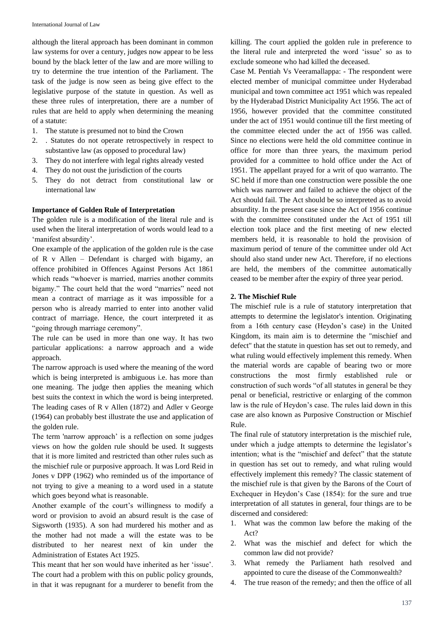although the literal approach has been dominant in common law systems for over a century, judges now appear to be less bound by the black letter of the law and are more willing to try to determine the true intention of the Parliament. The task of the judge is now seen as being give effect to the legislative purpose of the statute in question. As well as these three rules of interpretation, there are a number of rules that are held to apply when determining the meaning of a statute:

- 1. The statute is presumed not to bind the Crown
- 2. . Statutes do not operate retrospectively in respect to substantive law (as opposed to procedural law)
- 3. They do not interfere with legal rights already vested
- 4. They do not oust the jurisdiction of the courts
- 5. They do not detract from constitutional law or international law

### **Importance of Golden Rule of Interpretation**

The golden rule is a modification of the literal rule and is used when the literal interpretation of words would lead to a 'manifest absurdity'.

One example of the application of the golden rule is the case of R v Allen – Defendant is charged with bigamy, an offence prohibited in Offences Against Persons Act 1861 which reads "whoever is married, marries another commits bigamy." The court held that the word "marries" need not mean a contract of marriage as it was impossible for a person who is already married to enter into another valid contract of marriage. Hence, the court interpreted it as "going through marriage ceremony".

The rule can be used in more than one way. It has two particular applications: a narrow approach and a wide approach.

The narrow approach is used where the meaning of the word which is being interpreted is ambiguous i.e. has more than one meaning. The judge then applies the meaning which best suits the context in which the word is being interpreted. The leading cases of R v Allen (1872) and Adler v George (1964) can probably best illustrate the use and application of the golden rule.

The term 'narrow approach' is a reflection on some judges views on how the golden rule should be used. It suggests that it is more limited and restricted than other rules such as the mischief rule or purposive approach. It was Lord Reid in Jones v DPP (1962) who reminded us of the importance of not trying to give a meaning to a word used in a statute which goes beyond what is reasonable.

Another example of the court's willingness to modify a word or provision to avoid an absurd result is the case of Sigsworth (1935). A son had murdered his mother and as the mother had not made a will the estate was to be distributed to her nearest next of kin under the Administration of Estates Act 1925.

This meant that her son would have inherited as her 'issue'. The court had a problem with this on public policy grounds, in that it was repugnant for a murderer to benefit from the

killing. The court applied the golden rule in preference to the literal rule and interpreted the word 'issue' so as to exclude someone who had killed the deceased.

Case M. Pentiah Vs Veeramallappa: - The respondent were elected member of municipal committee under Hyderabad municipal and town committee act 1951 which was repealed by the Hyderabad District Municipality Act 1956. The act of 1956, however provided that the committee constituted under the act of 1951 would continue till the first meeting of the committee elected under the act of 1956 was called. Since no elections were held the old committee continue in office for more than three years, the maximum period provided for a committee to hold office under the Act of 1951. The appellant prayed for a writ of quo warranto. The SC held if more than one construction were possible the one which was narrower and failed to achieve the object of the Act should fail. The Act should be so interpreted as to avoid absurdity. In the present case since the Act of 1956 continue with the committee constituted under the Act of 1951 till election took place and the first meeting of new elected members held, it is reasonable to hold the provision of maximum period of tenure of the committee under old Act should also stand under new Act. Therefore, if no elections are held, the members of the committee automatically ceased to be member after the expiry of three year period.

#### **2. The Mischief Rule**

The mischief rule is a rule of statutory interpretation that attempts to determine the legislator's intention. Originating from a 16th century case (Heydon's case) in the United Kingdom, its main aim is to determine the "mischief and defect" that the statute in question has set out to remedy, and what ruling would effectively implement this remedy. When the material words are capable of bearing two or more constructions the most firmly established rule or construction of such words "of all statutes in general be they penal or beneficial, restrictive or enlarging of the common law is the rule of Heydon's case. The rules laid down in this case are also known as Purposive Construction or Mischief Rule.

The final rule of statutory interpretation is the mischief rule, under which a judge attempts to determine the legislator's intention; what is the "mischief and defect" that the statute in question has set out to remedy, and what ruling would effectively implement this remedy? The classic statement of the mischief rule is that given by the Barons of the Court of Exchequer in Heydon's Case (1854): for the sure and true interpretation of all statutes in general, four things are to be discerned and considered:

- 1. What was the common law before the making of the Act?
- 2. What was the mischief and defect for which the common law did not provide?
- 3. What remedy the Parliament hath resolved and appointed to cure the disease of the Commonwealth?
- 4. The true reason of the remedy; and then the office of all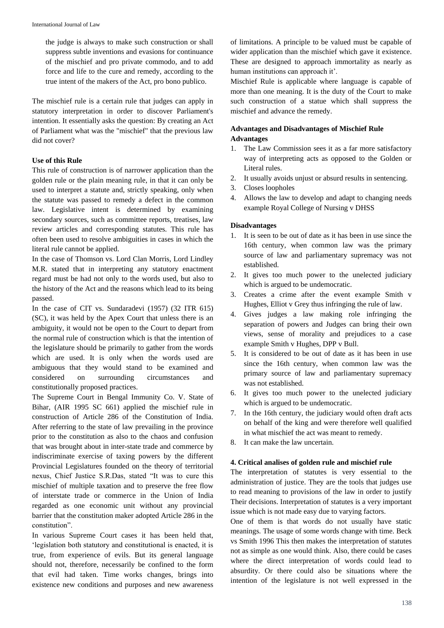the judge is always to make such construction or shall suppress subtle inventions and evasions for continuance of the mischief and pro private commodo, and to add force and life to the cure and remedy, according to the true intent of the makers of the Act, pro bono publico.

The mischief rule is a certain rule that judges can apply in statutory interpretation in order to discover Parliament's intention. It essentially asks the question: By creating an Act of Parliament what was the "mischief" that the previous law did not cover?

## **Use of this Rule**

This rule of construction is of narrower application than the golden rule or the plain meaning rule, in that it can only be used to interpret a statute and, strictly speaking, only when the statute was passed to remedy a defect in the common law. Legislative intent is determined by examining secondary sources, such as committee reports, treatises, law review articles and corresponding statutes. This rule has often been used to resolve ambiguities in cases in which the literal rule cannot be applied.

In the case of Thomson vs. Lord Clan Morris, Lord Lindley M.R. stated that in interpreting any statutory enactment regard must be had not only to the words used, but also to the history of the Act and the reasons which lead to its being passed.

In the case of CIT vs. Sundaradevi (1957) (32 ITR 615) (SC), it was held by the Apex Court that unless there is an ambiguity, it would not be open to the Court to depart from the normal rule of construction which is that the intention of the legislature should be primarily to gather from the words which are used. It is only when the words used are ambiguous that they would stand to be examined and considered on surrounding circumstances and constitutionally proposed practices.

The Supreme Court in Bengal Immunity Co. V. State of Bihar, (AIR 1995 SC 661) applied the mischief rule in construction of Article 286 of the Constitution of India. After referring to the state of law prevailing in the province prior to the constitution as also to the chaos and confusion that was brought about in inter-state trade and commerce by indiscriminate exercise of taxing powers by the different Provincial Legislatures founded on the theory of territorial nexus, Chief Justice S.R.Das, stated "It was to cure this mischief of multiple taxation and to preserve the free flow of interstate trade or commerce in the Union of India regarded as one economic unit without any provincial barrier that the constitution maker adopted Article 286 in the constitution".

In various Supreme Court cases it has been held that, 'legislation both statutory and constitutional is enacted, it is true, from experience of evils. But its general language should not, therefore, necessarily be confined to the form that evil had taken. Time works changes, brings into existence new conditions and purposes and new awareness of limitations. A principle to be valued must be capable of wider application than the mischief which gave it existence. These are designed to approach immortality as nearly as human institutions can approach it'.

Mischief Rule is applicable where language is capable of more than one meaning. It is the duty of the Court to make such construction of a statue which shall suppress the mischief and advance the remedy.

# **Advantages and Disadvantages of Mischief Rule Advantages**

- 1. The Law Commission sees it as a far more satisfactory way of interpreting acts as opposed to the Golden or Literal rules.
- 2. It usually avoids unjust or absurd results in sentencing.
- 3. Closes loopholes
- 4. Allows the law to develop and adapt to changing needs example Royal College of Nursing v DHSS

## **Disadvantages**

- 1. It is seen to be out of date as it has been in use since the 16th century, when common law was the primary source of law and parliamentary supremacy was not established.
- 2. It gives too much power to the unelected judiciary which is argued to be undemocratic.
- 3. Creates a crime after the event example Smith v Hughes, Elliot v Grey thus infringing the rule of law.
- 4. Gives judges a law making role infringing the separation of powers and Judges can bring their own views, sense of morality and prejudices to a case example Smith v Hughes, DPP v Bull.
- 5. It is considered to be out of date as it has been in use since the 16th century, when common law was the primary source of law and parliamentary supremacy was not established.
- 6. It gives too much power to the unelected judiciary which is argued to be undemocratic.
- 7. In the 16th century, the judiciary would often draft acts on behalf of the king and were therefore well qualified in what mischief the act was meant to remedy.
- 8. It can make the law uncertain.

## **4. Critical analises of golden rule and mischief rule**

The interpretation of statutes is very essential to the administration of justice. They are the tools that judges use to read meaning to provisions of the law in order to justify Their decisions. Interpretation of statutes is a very important issue which is not made easy due to varying factors.

One of them is that words do not usually have static meanings. The usage of some words change with time. Beck vs Smith 1996 This then makes the interpretation of statutes not as simple as one would think. Also, there could be cases where the direct interpretation of words could lead to absurdity. Or there could also be situations where the intention of the legislature is not well expressed in the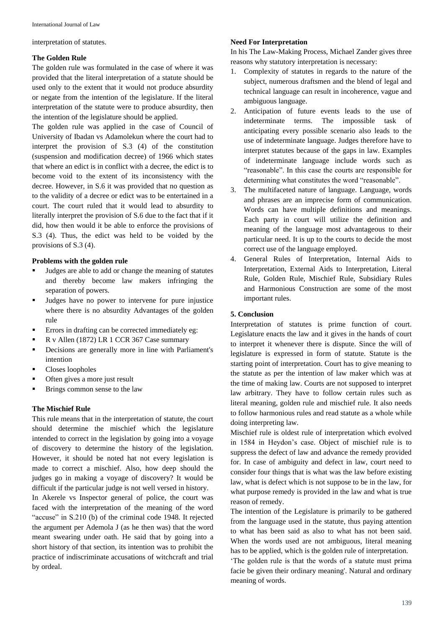interpretation of statutes.

### **The Golden Rule**

The golden rule was formulated in the case of where it was provided that the literal interpretation of a statute should be used only to the extent that it would not produce absurdity or negate from the intention of the legislature. If the literal interpretation of the statute were to produce absurdity, then the intention of the legislature should be applied.

The golden rule was applied in the case of Council of University of Ibadan vs Adamolekun where the court had to interpret the provision of S.3 (4) of the constitution (suspension and modification decree) of 1966 which states that where an edict is in conflict with a decree, the edict is to become void to the extent of its inconsistency with the decree. However, in S.6 it was provided that no question as to the validity of a decree or edict was to be entertained in a court. The court ruled that it would lead to absurdity to literally interpret the provision of S.6 due to the fact that if it did, how then would it be able to enforce the provisions of S.3 (4). Thus, the edict was held to be voided by the provisions of S.3 (4).

#### **Problems with the golden rule**

- Judges are able to add or change the meaning of statutes and thereby become law makers infringing the separation of powers.
- Judges have no power to intervene for pure injustice where there is no absurdity Advantages of the golden rule
- Errors in drafting can be corrected immediately eg:
- R v Allen (1872) LR 1 CCR 367 Case summary
- **•** Decisions are generally more in line with Parliament's intention
- **Closes loopholes**
- Often gives a more just result
- **Brings common sense to the law**

### **The Mischief Rule**

This rule means that in the interpretation of statute, the court should determine the mischief which the legislature intended to correct in the legislation by going into a voyage of discovery to determine the history of the legislation. However, it should be noted hat not every legislation is made to correct a mischief. Also, how deep should the judges go in making a voyage of discovery? It would be difficult if the particular judge is not well versed in history.

In Akerele vs Inspector general of police, the court was faced with the interpretation of the meaning of the word "accuse" in S.210 (b) of the criminal code 1948. It rejected the argument per Ademola J (as he then was) that the word meant swearing under oath. He said that by going into a short history of that section, its intention was to prohibit the practice of indiscriminate accusations of witchcraft and trial by ordeal.

## **Need For Interpretation**

In his The Law-Making Process, Michael Zander gives three reasons why statutory interpretation is necessary:

- 1. Complexity of statutes in regards to the nature of the subject, numerous draftsmen and the blend of legal and technical language can result in incoherence, vague and ambiguous language.
- 2. Anticipation of future events leads to the use of indeterminate terms. The impossible task of anticipating every possible scenario also leads to the use of indeterminate language. Judges therefore have to interpret statutes because of the gaps in law. Examples of indeterminate language include words such as "reasonable". In this case the courts are responsible for determining what constitutes the word "reasonable".
- 3. The multifaceted nature of language. Language, words and phrases are an imprecise form of communication. Words can have multiple definitions and meanings. Each party in court will utilize the definition and meaning of the language most advantageous to their particular need. It is up to the courts to decide the most correct use of the language employed.
- 4. General Rules of Interpretation, Internal Aids to Interpretation, External Aids to Interpretation, Literal Rule, Golden Rule, Mischief Rule, Subsidiary Rules and Harmonious Construction are some of the most important rules.

## **5. Conclusion**

Interpretation of statutes is prime function of court. Legislature enacts the law and it gives in the hands of court to interpret it whenever there is dispute. Since the will of legislature is expressed in form of statute. Statute is the starting point of interpretation. Court has to give meaning to the statute as per the intention of law maker which was at the time of making law. Courts are not supposed to interpret law arbitrary. They have to follow certain rules such as literal meaning, golden rule and mischief rule. It also needs to follow harmonious rules and read statute as a whole while doing interpreting law.

Mischief rule is oldest rule of interpretation which evolved in 1584 in Heydon's case. Object of mischief rule is to suppress the defect of law and advance the remedy provided for. In case of ambiguity and defect in law, court need to consider four things that is what was the law before existing law, what is defect which is not suppose to be in the law, for what purpose remedy is provided in the law and what is true reason of remedy.

The intention of the Legislature is primarily to be gathered from the language used in the statute, thus paying attention to what has been said as also to what has not been said. When the words used are not ambiguous, literal meaning has to be applied, which is the golden rule of interpretation.

'The golden rule is that the words of a statute must prima facie be given their ordinary meaning'. Natural and ordinary meaning of words.